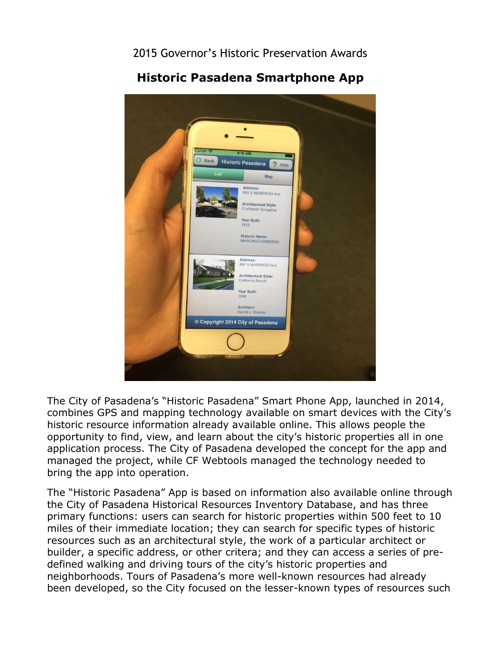2015 Governor's Historic Preservation Awards



**Historic Pasadena Smartphone App** 

The City of Pasadena's "Historic Pasadena" Smart Phone App, launched in 2014, combines GPS and mapping technology available on smart devices with the City's historic resource information already available online. This allows people the opportunity to find, view, and learn about the city's historic properties all in one application process. The City of Pasadena developed the concept for the app and managed the project, while CF Webtools managed the technology needed to bring the app into operation.

 defined walking and driving tours of the city's historic properties and The "Historic Pasadena" App is based on information also available online through the City of Pasadena Historical Resources Inventory Database, and has three primary functions: users can search for historic properties within 500 feet to 10 miles of their immediate location; they can search for specific types of historic resources such as an architectural style, the work of a particular architect or builder, a specific address, or other critera; and they can access a series of preneighborhoods. Tours of Pasadena's more well-known resources had already been developed, so the City focused on the lesser-known types of resources such